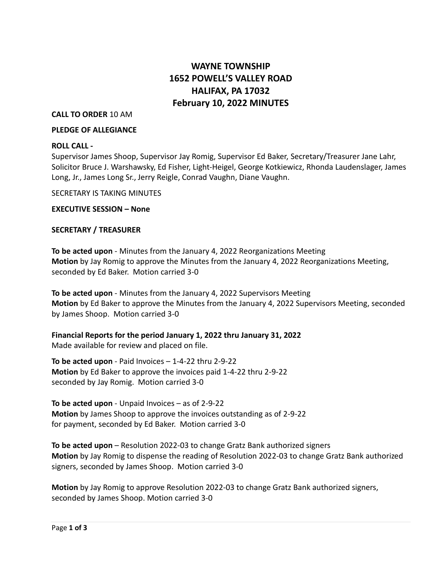# **WAYNE TOWNSHIP 1652 POWELL'S VALLEY ROAD HALIFAX, PA 17032 February 10, 2022 MINUTES**

## **CALL TO ORDER** 10 AM

#### **PLEDGE OF ALLEGIANCE**

## **ROLL CALL -**

Supervisor James Shoop, Supervisor Jay Romig, Supervisor Ed Baker, Secretary/Treasurer Jane Lahr, Solicitor Bruce J. Warshawsky, Ed Fisher, Light-Heigel, George Kotkiewicz, Rhonda Laudenslager, James Long, Jr., James Long Sr., Jerry Reigle, Conrad Vaughn, Diane Vaughn.

SECRETARY IS TAKING MINUTES

**EXECUTIVE SESSION – None**

## **SECRETARY / TREASURER**

**To be acted upon** - Minutes from the January 4, 2022 Reorganizations Meeting **Motion** by Jay Romig to approve the Minutes from the January 4, 2022 Reorganizations Meeting, seconded by Ed Baker. Motion carried 3-0

**To be acted upon** - Minutes from the January 4, 2022 Supervisors Meeting **Motion** by Ed Baker to approve the Minutes from the January 4, 2022 Supervisors Meeting, seconded by James Shoop. Motion carried 3-0

**Financial Reports for the period January 1, 2022 thru January 31, 2022** Made available for review and placed on file.

**To be acted upon** - Paid Invoices – 1-4-22 thru 2-9-22 **Motion** by Ed Baker to approve the invoices paid 1-4-22 thru 2-9-22 seconded by Jay Romig. Motion carried 3-0

**To be acted upon** - Unpaid Invoices – as of 2-9-22 **Motion** by James Shoop to approve the invoices outstanding as of 2-9-22 for payment, seconded by Ed Baker. Motion carried 3-0

**To be acted upon** – Resolution 2022-03 to change Gratz Bank authorized signers **Motion** by Jay Romig to dispense the reading of Resolution 2022-03 to change Gratz Bank authorized signers, seconded by James Shoop. Motion carried 3-0

**Motion** by Jay Romig to approve Resolution 2022-03 to change Gratz Bank authorized signers, seconded by James Shoop. Motion carried 3-0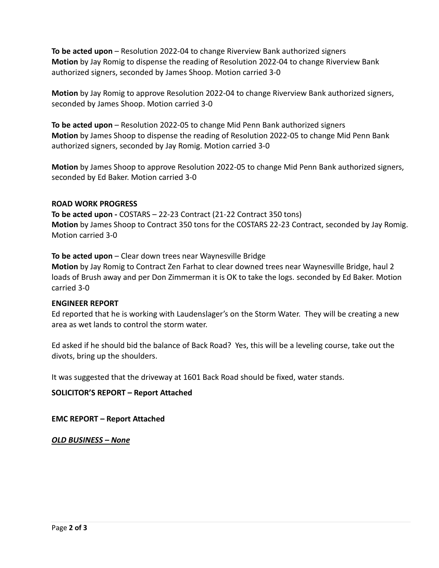**To be acted upon** – Resolution 2022-04 to change Riverview Bank authorized signers **Motion** by Jay Romig to dispense the reading of Resolution 2022-04 to change Riverview Bank authorized signers, seconded by James Shoop. Motion carried 3-0

**Motion** by Jay Romig to approve Resolution 2022-04 to change Riverview Bank authorized signers, seconded by James Shoop. Motion carried 3-0

**To be acted upon** – Resolution 2022-05 to change Mid Penn Bank authorized signers **Motion** by James Shoop to dispense the reading of Resolution 2022-05 to change Mid Penn Bank authorized signers, seconded by Jay Romig. Motion carried 3-0

**Motion** by James Shoop to approve Resolution 2022-05 to change Mid Penn Bank authorized signers, seconded by Ed Baker. Motion carried 3-0

## **ROAD WORK PROGRESS**

**To be acted upon -** COSTARS – 22-23 Contract (21-22 Contract 350 tons) **Motion** by James Shoop to Contract 350 tons for the COSTARS 22-23 Contract, seconded by Jay Romig. Motion carried 3-0

**To be acted upon** – Clear down trees near Waynesville Bridge

**Motion** by Jay Romig to Contract Zen Farhat to clear downed trees near Waynesville Bridge, haul 2 loads of Brush away and per Don Zimmerman it is OK to take the logs. seconded by Ed Baker. Motion carried 3-0

## **ENGINEER REPORT**

Ed reported that he is working with Laudenslager's on the Storm Water. They will be creating a new area as wet lands to control the storm water.

Ed asked if he should bid the balance of Back Road? Yes, this will be a leveling course, take out the divots, bring up the shoulders.

It was suggested that the driveway at 1601 Back Road should be fixed, water stands.

**SOLICITOR'S REPORT – Report Attached**

**EMC REPORT – Report Attached**

*OLD BUSINESS – None*